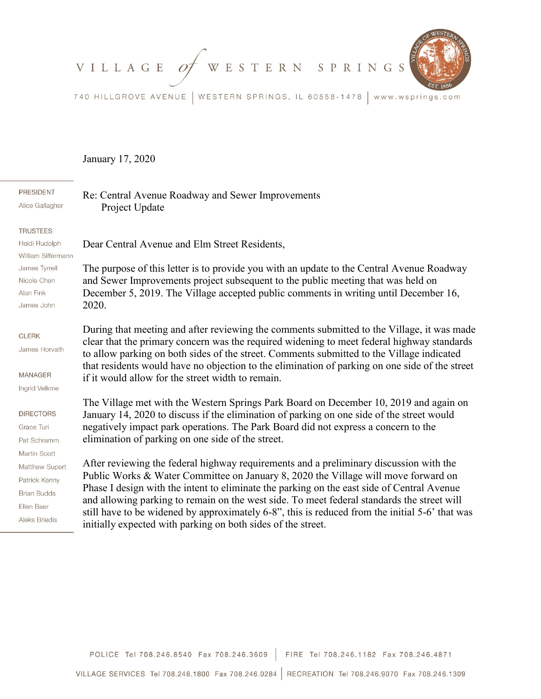VILLAGE OF WESTERN SPRINGS



740 HILLGROVE AVENUE | WESTERN SPRINGS, IL 60558-1478 | www.wsprings.com

## January 17, 2020

2020.

**PRESIDENT** Alice Gallagher

Re: Central Avenue Roadway and Sewer Improvements Project Update

Dear Central Avenue and Elm Street Residents,

## **TRUSTEES**

Heidi Rudolph William Siffermann James Tyrrell Nicole Chen Alan Fink James John

## **CLERK**

James Horvath

MANAGER

Ingrid Velkme

## **DIRECTORS**

Grace Turi Pat Schramm Martin Scott Matthew Supert Patrick Kenny **Brian Budds** Fllen Baer **Aleks Briedis** 

During that meeting and after reviewing the comments submitted to the Village, it was made clear that the primary concern was the required widening to meet federal highway standards to allow parking on both sides of the street. Comments submitted to the Village indicated that residents would have no objection to the elimination of parking on one side of the street if it would allow for the street width to remain.

The purpose of this letter is to provide you with an update to the Central Avenue Roadway

and Sewer Improvements project subsequent to the public meeting that was held on December 5, 2019. The Village accepted public comments in writing until December 16,

The Village met with the Western Springs Park Board on December 10, 2019 and again on January 14, 2020 to discuss if the elimination of parking on one side of the street would negatively impact park operations. The Park Board did not express a concern to the elimination of parking on one side of the street.

After reviewing the federal highway requirements and a preliminary discussion with the Public Works & Water Committee on January 8, 2020 the Village will move forward on Phase I design with the intent to eliminate the parking on the east side of Central Avenue and allowing parking to remain on the west side. To meet federal standards the street will still have to be widened by approximately 6-8", this is reduced from the initial 5-6' that was initially expected with parking on both sides of the street.